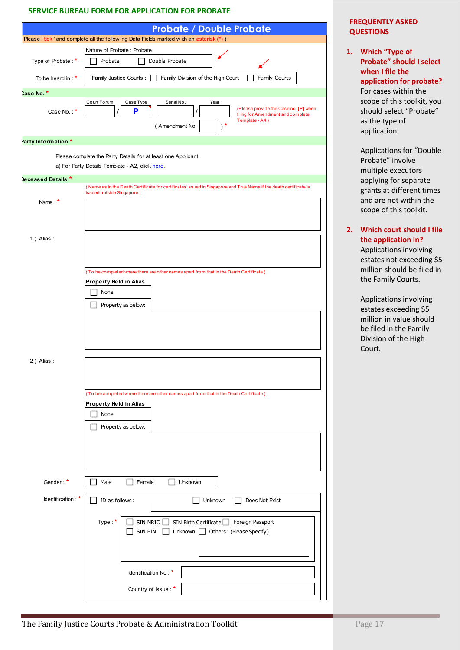### **SERVICE BUREAU FORM FOR APPLICATION FOR PROBATE**

|                     | <b>FREQUENTLY A</b><br><b>QUESTIONS</b>                                                                                                                                         |                                                            |
|---------------------|---------------------------------------------------------------------------------------------------------------------------------------------------------------------------------|------------------------------------------------------------|
|                     | <b>Probate / Double Probate</b><br>Please ' tick ' and complete all the follow ing Data Fields marked with an asterisk (*) )                                                    |                                                            |
| Type of Probate: *  | Nature of Probate: Probate<br>Double Probate<br>Probate                                                                                                                         | 1. Which "Typ<br>Probate" sł                               |
| To be heard in : *  | Family Justice Courts :  <br>Family Division of the High Court<br>Family Courts                                                                                                 | when I file<br>application                                 |
| Case No. *          |                                                                                                                                                                                 | For cases w                                                |
| Case No.: *         | Court Forum<br>Case Type<br>Serial No.<br>Year<br>(Please provide the Case no. [P] when<br>P<br>filing for Amendment and complete<br>Template - A4.)<br>$)$ *<br>(Amendment No. | scope of thi<br>should sele<br>as the type<br>application. |
| Party Information * |                                                                                                                                                                                 |                                                            |
|                     | Please complete the Party Details for at least one Applicant.                                                                                                                   | Application<br>Probate" in                                 |
|                     | a) For Party Details Template - A2, click here.                                                                                                                                 | multiple ex                                                |
| leceased Details *  | (Name as in the Death Certificate for certificates issued in Singapore and True Name if the death certificate is                                                                | applying for                                               |
| Name: *             | issued outside Singapore)                                                                                                                                                       | grants at di<br>and are not<br>scope of thi                |
| 1) Alias:           |                                                                                                                                                                                 | 2. Which cour                                              |
|                     |                                                                                                                                                                                 | the applica<br>Application<br>estates not                  |
|                     | (To be completed where there are other names apart from that in the Death Certificate)                                                                                          | million shou                                               |
|                     | <b>Property Held in Alias</b>                                                                                                                                                   | the Family (                                               |
|                     | None                                                                                                                                                                            |                                                            |
|                     | Property as below:                                                                                                                                                              | Application<br>estates exc                                 |
|                     |                                                                                                                                                                                 | million in va<br>be filed in t<br>Division of t            |
|                     |                                                                                                                                                                                 | Court.                                                     |
| 2) Alias:           |                                                                                                                                                                                 |                                                            |
|                     |                                                                                                                                                                                 |                                                            |
|                     | (To be completed where there are other names apart from that in the Death Certificate)                                                                                          |                                                            |
|                     | Property Held in Alias                                                                                                                                                          |                                                            |
|                     | None                                                                                                                                                                            |                                                            |
|                     | Property as below:                                                                                                                                                              |                                                            |
|                     |                                                                                                                                                                                 |                                                            |
|                     |                                                                                                                                                                                 |                                                            |
|                     |                                                                                                                                                                                 |                                                            |
| Gender:*            | Male<br>Female<br>Unknown                                                                                                                                                       |                                                            |
| Identification: $*$ | ID as follows:<br>Unknown<br>Does Not Exist                                                                                                                                     |                                                            |
|                     | Type $*$<br>SIN NRIC<br>SIN Birth Certificate Sin Foreign Passport<br>SIN FIN<br>Unknown <b>Others</b> : (Please Specify)                                                       |                                                            |
|                     |                                                                                                                                                                                 |                                                            |
|                     | Identification No: *                                                                                                                                                            |                                                            |
|                     | Country of Issue: *                                                                                                                                                             |                                                            |

### **FREQUENTLY ASKED QUESTIONS**

1. Which "Type of **Probate͟ should I select when I file the application for probate?**  For cases within the scope of this toolkit, you should select "Probate" as the type of application.

> Applications for "Double Probate" involve multiple executors applying for separate grants at different times and are not within the scope of this toolkit.

**2. Which court should I file the application in?**  Applications involving estates not exceeding \$5 million should be filed in the Family Courts.

> Applications involving estates exceeding \$5 million in value should be filed in the Family Division of the High Court.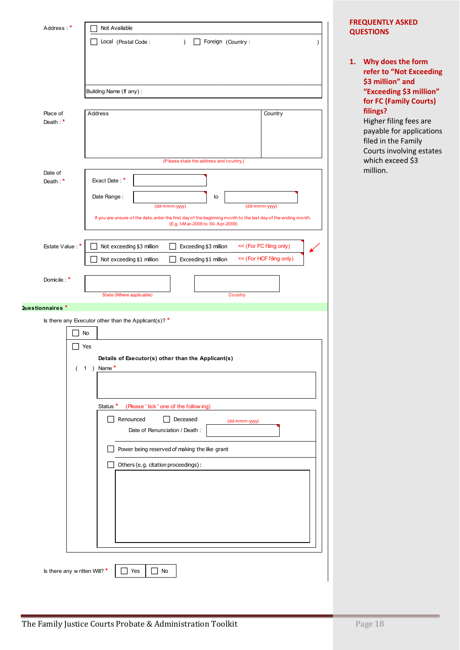| Address: *            | Not Available                                                                                                                                    |
|-----------------------|--------------------------------------------------------------------------------------------------------------------------------------------------|
|                       | Local (Postal Code:<br>Foreign (Country:<br>$\lambda$                                                                                            |
|                       |                                                                                                                                                  |
|                       |                                                                                                                                                  |
|                       | Building Name (If any):                                                                                                                          |
| Place of              | Address<br>Country                                                                                                                               |
| Death: $*$            |                                                                                                                                                  |
|                       |                                                                                                                                                  |
|                       | (Please state the address and country.)                                                                                                          |
| Date of<br>Death: $*$ | Exact Date: *                                                                                                                                    |
|                       | Date Range:<br>to                                                                                                                                |
|                       | (dd-mmm-yyyy)<br>(dd-mmm-yyyy)<br>If you are unsure of the date, enter the first day of the beginning month to the last day of the ending month. |
|                       | (E.g. 1-M ar-2009 to 30-Apr-2009)                                                                                                                |
| Estate Value: *       | Not exceeding \$3 million<br><< (For FC filing only)<br>Exceeding \$3 million                                                                    |
|                       | << (For HCF filing only)<br>Exceeding \$1 million<br>Not exceeding \$1 million                                                                   |
| Domicile: *           |                                                                                                                                                  |
|                       | State (Where applicable)<br>Country                                                                                                              |
| Questionnaires*       | Is there any Executor other than the Applicant(s)? *                                                                                             |
|                       | No                                                                                                                                               |
|                       | Yes                                                                                                                                              |
|                       | Details of Executor(s) other than the Applicant(s)<br>$\overline{(}$<br>$\mathbf{1}$<br>) Name                                                   |
|                       |                                                                                                                                                  |
|                       | Status *<br>(Please ' tick ' one of the following)                                                                                               |
|                       | Renounced<br>Deceased<br>(dd-mmm-yyyy)                                                                                                           |
|                       | Date of Renunciation / Death :                                                                                                                   |
|                       | Power being reserved of making the like grant                                                                                                    |
|                       | Others (e.g. citation proceedings):                                                                                                              |
|                       |                                                                                                                                                  |
|                       |                                                                                                                                                  |
|                       |                                                                                                                                                  |
|                       |                                                                                                                                                  |
|                       |                                                                                                                                                  |
|                       |                                                                                                                                                  |

### **1. Why does the form refer to "Not Exceeding \$3 million͟ and "Exceeding \$3 million" for FC (Family Courts) filings?**

Higher filing fees are payable for applications filed in the Family Courts involving estates which exceed \$3 million.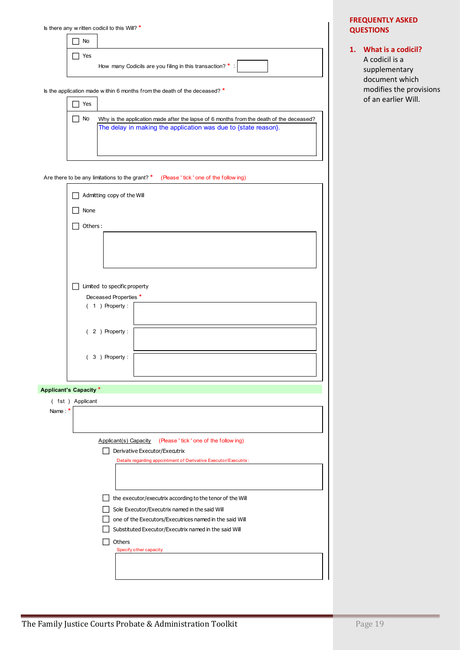|             | Is there any w ritten codicil to this Will? $*$                                                                                                           |  |
|-------------|-----------------------------------------------------------------------------------------------------------------------------------------------------------|--|
| No          |                                                                                                                                                           |  |
| Yes         | How many Codicils are you filing in this transaction? *                                                                                                   |  |
| Yes         | Is the application made within 6 months from the death of the deceased? *                                                                                 |  |
|             |                                                                                                                                                           |  |
| No          | Why is the application made after the lapse of 6 months from the death of the deceased?<br>The delay in making the application was due to {state reason}. |  |
|             | Are there to be any limitations to the grant? *<br>(Please ' tick ' one of the following)                                                                 |  |
|             | Admitting copy of the Will                                                                                                                                |  |
| <b>None</b> |                                                                                                                                                           |  |

# **1. What is a codicil?**

A codicil is a supplementary document which modifies the provisions of an earlier Will.

|        | None                                                              |
|--------|-------------------------------------------------------------------|
|        | Others:<br>-1                                                     |
|        |                                                                   |
|        | Limited to specific property<br>$\mathbf{I}$                      |
|        | Deceased Properties *                                             |
|        | $(1)$ Property:                                                   |
|        | $(2)$ Property:                                                   |
|        | $(3)$ Property:                                                   |
|        |                                                                   |
|        | <b>Applicant's Capacity *</b>                                     |
| Name * | (1st) Applicant                                                   |
|        |                                                                   |
|        | Applicant(s) Capacity<br>(Please ' tick ' one of the follow ing)  |
|        | Derivative Executor/Executrix                                     |
|        | Details regarding appointment of Derivative Executor/Executrix:   |
|        |                                                                   |
|        | $\perp$ the executor/executrix according to the tenor of the Will |
|        | Sole Executor/Executrix named in the said Will                    |
|        | one of the Executors/Executrices named in the said Will           |
|        | Substituted Executor/Executrix named in the said Will             |
|        | Others                                                            |
|        | Specify other capacity:                                           |
|        |                                                                   |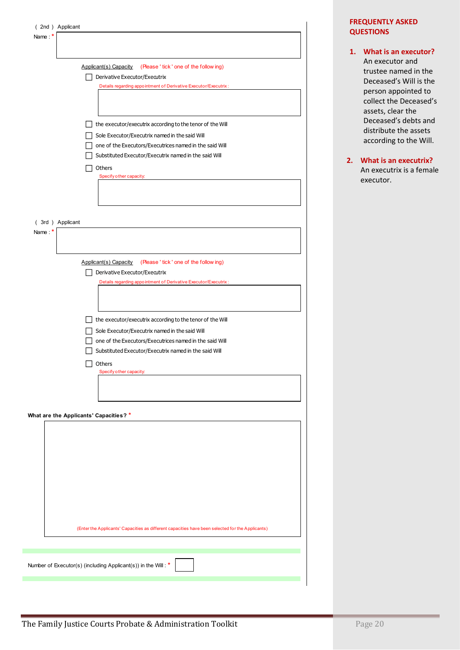| (2nd) Applicant                                                                                                  |
|------------------------------------------------------------------------------------------------------------------|
| Name *                                                                                                           |
|                                                                                                                  |
| Applicant(s) Capacity<br>(Please ' tick ' one of the following)                                                  |
| Derivative Executor/Executrix                                                                                    |
| Details regarding appointment of Derivative Executor/Executrix:                                                  |
|                                                                                                                  |
|                                                                                                                  |
| the executor/executrix according to the tenor of the Will                                                        |
| Sole Executor/Executrix named in the said Will                                                                   |
| one of the Executors/Executrices named in the said Will<br>Substituted Executor/Executrix named in the said Will |
| Others                                                                                                           |
| Specify other capacity:                                                                                          |
|                                                                                                                  |
|                                                                                                                  |
|                                                                                                                  |
| (3rd) Applicant                                                                                                  |
| Name:*                                                                                                           |
|                                                                                                                  |
| Applicant(s) Capacity<br>(Please ' tick ' one of the following)                                                  |
| Derivative Executor/Executrix                                                                                    |
| Details regarding appointment of Derivative Executor/Executrix:                                                  |
|                                                                                                                  |
|                                                                                                                  |
| the executor/executrix according to the tenor of the Will                                                        |
| Sole Executor/Executrix named in the said Will                                                                   |
| one of the Executors/Executrices named in the said Will<br>Substituted Executor/Executrix named in the said Will |
| Others                                                                                                           |
| Specify other capacity:                                                                                          |
|                                                                                                                  |
|                                                                                                                  |
|                                                                                                                  |
| What are the Applicants' Capacities? *                                                                           |
|                                                                                                                  |
|                                                                                                                  |
|                                                                                                                  |
|                                                                                                                  |
|                                                                                                                  |
|                                                                                                                  |
|                                                                                                                  |
|                                                                                                                  |
| (Enter the Applicants' Capacities as different capacities have been selected for the Applicants)                 |
|                                                                                                                  |
|                                                                                                                  |
| Number of Executor(s) (including Applicant(s)) in the Will: *                                                    |
|                                                                                                                  |

**1. What is an executor?**  An executor and trustee named in the Deceased͛s Will is the person appointed to collect the Deceased's assets, clear the Deceased's debts and distribute the assets according to the Will.

### **2. What is an executrix?** An executrix is a female executor.

**STATISTICS**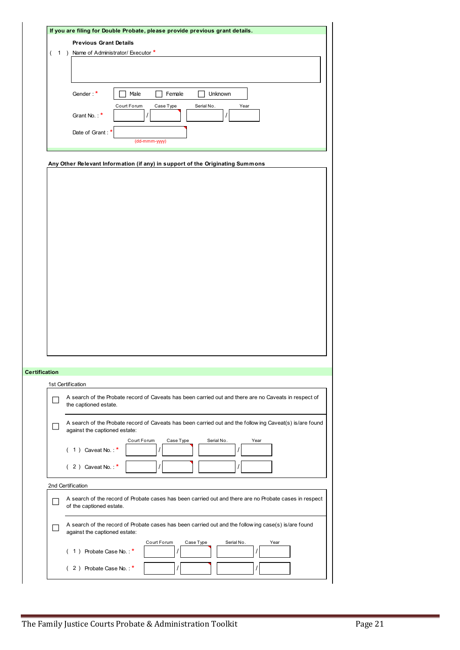|                          | (1) Name of Administrator/Executor *                                                                                               |
|--------------------------|------------------------------------------------------------------------------------------------------------------------------------|
|                          |                                                                                                                                    |
|                          |                                                                                                                                    |
|                          | Gender:*<br>Male<br>Female<br>Unknown<br>Court Forum<br>Case Type<br>Serial No.                                                    |
|                          | Year<br>Grant No.:*<br>$\sqrt{ }$<br>I                                                                                             |
|                          | Date of Grant:<br>(dd-mmm-yyyy)                                                                                                    |
|                          |                                                                                                                                    |
|                          | Any Other Relevant Information (if any) in support of the Originating Summons                                                      |
|                          |                                                                                                                                    |
|                          |                                                                                                                                    |
|                          |                                                                                                                                    |
|                          |                                                                                                                                    |
|                          |                                                                                                                                    |
|                          |                                                                                                                                    |
|                          |                                                                                                                                    |
|                          |                                                                                                                                    |
|                          |                                                                                                                                    |
|                          |                                                                                                                                    |
|                          |                                                                                                                                    |
|                          |                                                                                                                                    |
|                          |                                                                                                                                    |
|                          |                                                                                                                                    |
|                          |                                                                                                                                    |
|                          |                                                                                                                                    |
|                          |                                                                                                                                    |
|                          |                                                                                                                                    |
|                          |                                                                                                                                    |
| <b>Certification</b>     |                                                                                                                                    |
|                          | 1st Certification                                                                                                                  |
|                          |                                                                                                                                    |
| ۰                        | A search of the Probate record of Caveats has been carried out and there are no Caveats in respect of<br>the captioned estate.     |
|                          |                                                                                                                                    |
|                          | A search of the Probate record of Caveats has been carried out and the following Caveat(s) is/are found                            |
| - 1                      | against the captioned estate:                                                                                                      |
|                          | Court Forum<br>Case Type<br>Serial No.<br>Year                                                                                     |
|                          | $(1)$ Caveat No.: $*$                                                                                                              |
|                          |                                                                                                                                    |
|                          | $(2)$ Caveat No.: *                                                                                                                |
|                          | 2nd Certification                                                                                                                  |
|                          |                                                                                                                                    |
|                          | A search of the record of Probate cases has been carried out and there are no Probate cases in respect<br>of the captioned estate. |
|                          |                                                                                                                                    |
| $\overline{\phantom{a}}$ | A search of the record of Probate cases has been carried out and the follow ing case(s) is/are found                               |
|                          | against the captioned estate:                                                                                                      |
|                          | Court Forum<br>Case Type<br>Serial No.<br>Year                                                                                     |
|                          | $\prime$<br>$(1)$ Probate Case No.: *                                                                                              |